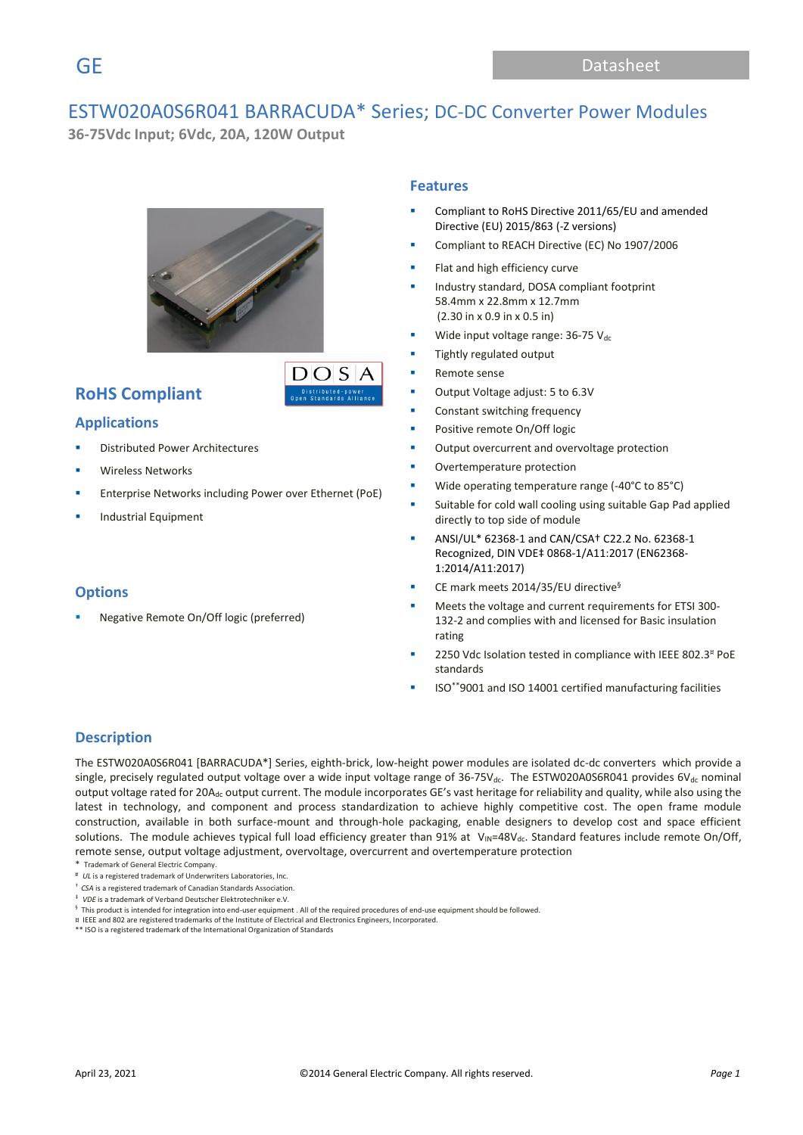# ESTW020A0S6R041 BARRACUDA\* Series; DC-DC Converter Power Modules

**36-75Vdc Input; 6Vdc, 20A, 120W Output** 



 $DOS$ 

# **RoHS Compliant**

### **Applications**

- **Distributed Power Architectures**
- Wireless Networks
- Enterprise Networks including Power over Ethernet (PoE)
- **Industrial Equipment**

### **Options**

Negative Remote On/Off logic (preferred)

### **Features**

- Compliant to RoHS Directive 2011/65/EU and amended Directive (EU) 2015/863 (-Z versions)
- Compliant to REACH Directive (EC) No 1907/2006
- Flat and high efficiency curve
- Industry standard, DOSA compliant footprint 58.4mm x 22.8mm x 12.7mm (2.30 in x 0.9 in x 0.5 in)
- Wide input voltage range:  $36-75$  Vdc
- Tightly regulated output
- Remote sense
- Output Voltage adjust: 5 to 6.3V
- Constant switching frequency
- Positive remote On/Off logic
- Output overcurrent and overvoltage protection
- Overtemperature protection
- Wide operating temperature range (-40°C to 85°C)
- Suitable for cold wall cooling using suitable Gap Pad applied directly to top side of module
- ANSI/UL\* 62368-1 and CAN/CSA† C22.2 No. 62368-1 Recognized, DIN VDE‡ 0868-1/A11:2017 (EN62368- 1:2014/A11:2017)
- CE mark meets 2014/35/EU directive<sup>§</sup>
- Meets the voltage and current requirements for ETSI 300-132-2 and complies with and licensed for Basic insulation rating
- 2250 Vdc Isolation tested in compliance with IEEE 802.3<sup>¤</sup> PoE standards
- ISO\*\*9001 and ISO 14001 certified manufacturing facilities

### **Description**

The ESTW020A0S6R041 [BARRACUDA\*] Series, eighth-brick, low-height power modules are isolated dc-dc converters which provide a single, precisely regulated output voltage over a wide input voltage range of 36-75V<sub>dc</sub>. The ESTW020A0S6R041 provides 6V<sub>dc</sub> nominal output voltage rated for 20A<sub>dc</sub> output current. The module incorporates GE's vast heritage for reliability and quality, while also using the latest in technology, and component and process standardization to achieve highly competitive cost. The open frame module construction, available in both surface-mount and through-hole packaging, enable designers to develop cost and space efficient solutions. The module achieves typical full load efficiency greater than 91% at  $V_{\text{IN}}=48V_{\text{dc}}$ . Standard features include remote On/Off, remote sense, output voltage adjustment, overvoltage, overcurrent and overtemperature protection

- \* Trademark of General Electric Company.
- # *UL* is a registered trademark of Underwriters Laboratories, Inc.
- † *CSA* is a registered trademark of Canadian Standards Association.
- ‡ *VDE* is a trademark of Verband Deutscher Elektrotechniker e.V.

¤ IEEE and 802 are registered trademarks of the Institute of Electrical and Electronics Engineers, Incorporated. \*\* ISO is a registered trademark of the International Organization of Standards

 $§$  This product is intended for integration into end-user equipment . All of the required procedures of end-use equipment should be followed.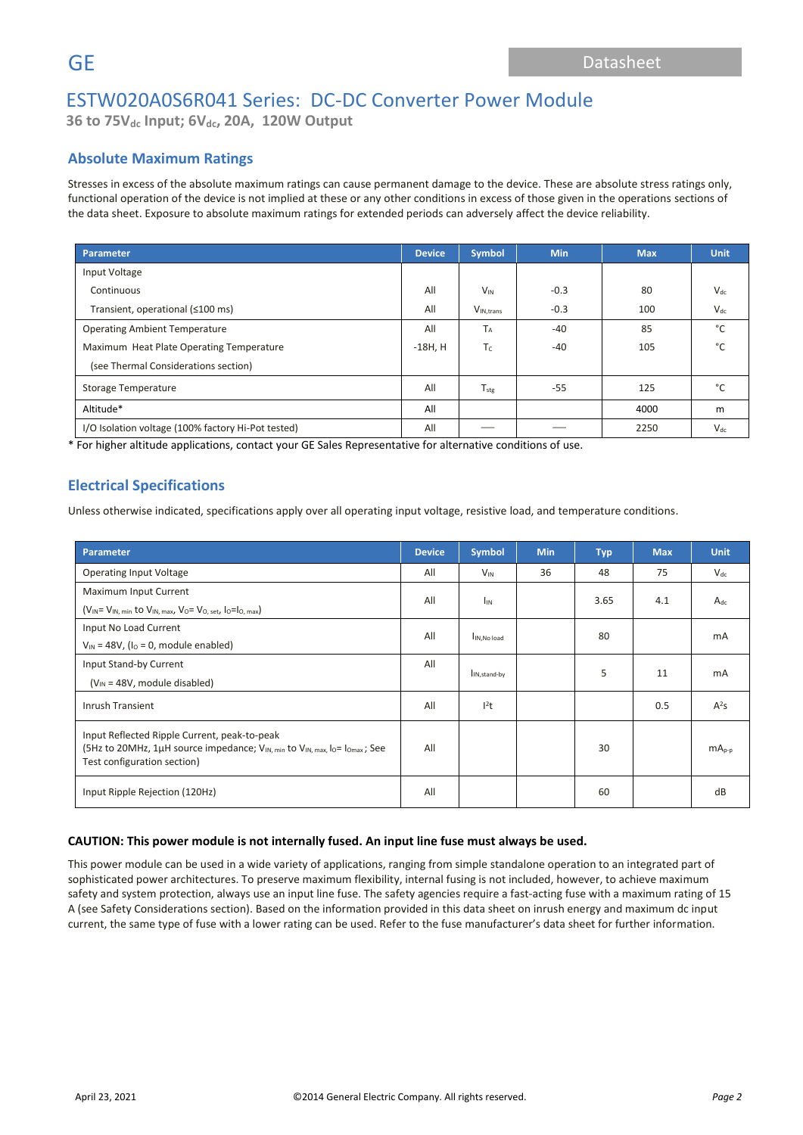**36 to 75Vdc Input; 6Vdc, 20A, 120W Output**

### **Absolute Maximum Ratings**

Stresses in excess of the absolute maximum ratings can cause permanent damage to the device. These are absolute stress ratings only, functional operation of the device is not implied at these or any other conditions in excess of those given in the operations sections of the data sheet. Exposure to absolute maximum ratings for extended periods can adversely affect the device reliability.

| <b>Parameter</b>                                   | <b>Device</b> | <b>Symbol</b>          | <b>Min</b> | <b>Max</b> | <b>Unit</b> |
|----------------------------------------------------|---------------|------------------------|------------|------------|-------------|
| Input Voltage                                      |               |                        |            |            |             |
| Continuous                                         | All           | $V_{IN}$               | $-0.3$     | 80         | $V_{dc}$    |
| Transient, operational (≤100 ms)                   | All           | V <sub>IN</sub> .trans | $-0.3$     | 100        | $V_{dc}$    |
| <b>Operating Ambient Temperature</b>               | All           | $T_A$                  | $-40$      | 85         | °C          |
| Maximum Heat Plate Operating Temperature           | $-18H, H$     | $T_c$                  | $-40$      | 105        | °С          |
| (see Thermal Considerations section)               |               |                        |            |            |             |
| Storage Temperature                                | All           | $T_{\text{stg}}$       | $-55$      | 125        | °€          |
| Altitude*                                          | All           |                        |            | 4000       | m           |
| I/O Isolation voltage (100% factory Hi-Pot tested) | All           |                        |            | 2250       | $V_{dc}$    |

\* For higher altitude applications, contact your GE Sales Representative for alternative conditions of use.

### **Electrical Specifications**

Unless otherwise indicated, specifications apply over all operating input voltage, resistive load, and temperature conditions.

| Parameter                                                                                                                                                                                      | <b>Device</b> | Symbol                    | <b>Min</b> | <b>Typ</b> | <b>Max</b> | <b>Unit</b> |
|------------------------------------------------------------------------------------------------------------------------------------------------------------------------------------------------|---------------|---------------------------|------------|------------|------------|-------------|
| <b>Operating Input Voltage</b>                                                                                                                                                                 | All           | $V_{IN}$                  | 36         | 48         | 75         | $V_{dc}$    |
| Maximum Input Current                                                                                                                                                                          | All           | <b>I<sub>IN</sub></b>     |            | 3.65       | 4.1        | $A_{dc}$    |
| $(V_{IN} = V_{IN, min}$ to $V_{IN, max}$ , $V_0 = V_{O, set}$ , $I_0 = I_{O, max}$                                                                                                             |               |                           |            |            |            |             |
| Input No Load Current                                                                                                                                                                          | All           |                           |            | 80         |            | mA          |
| $V_{\text{IN}}$ = 48V, ( $I_0$ = 0, module enabled)                                                                                                                                            |               | IN, No load               |            |            |            |             |
| Input Stand-by Current                                                                                                                                                                         | All           | I <sub>IN, stand-by</sub> |            | 5          | 11         | mA          |
| $(V_{IN} = 48V,$ module disabled)                                                                                                                                                              |               |                           |            |            |            |             |
| Inrush Transient                                                                                                                                                                               | All           | $l^2t$                    |            |            | 0.5        | $A^2S$      |
| Input Reflected Ripple Current, peak-to-peak<br>(5Hz to 20MHz, 1µH source impedance; V <sub>IN, min</sub> to V <sub>IN, max</sub> , lo= lo <sub>max</sub> ; See<br>Test configuration section) | All           |                           |            | 30         |            | $mAp-p$     |
| Input Ripple Rejection (120Hz)                                                                                                                                                                 | All           |                           |            | 60         |            | dB          |

#### **CAUTION: This power module is not internally fused. An input line fuse must always be used.**

This power module can be used in a wide variety of applications, ranging from simple standalone operation to an integrated part of sophisticated power architectures. To preserve maximum flexibility, internal fusing is not included, however, to achieve maximum safety and system protection, always use an input line fuse. The safety agencies require a fast-acting fuse with a maximum rating of 15 A (see Safety Considerations section). Based on the information provided in this data sheet on inrush energy and maximum dc input current, the same type of fuse with a lower rating can be used. Refer to the fuse manufacturer's data sheet for further information.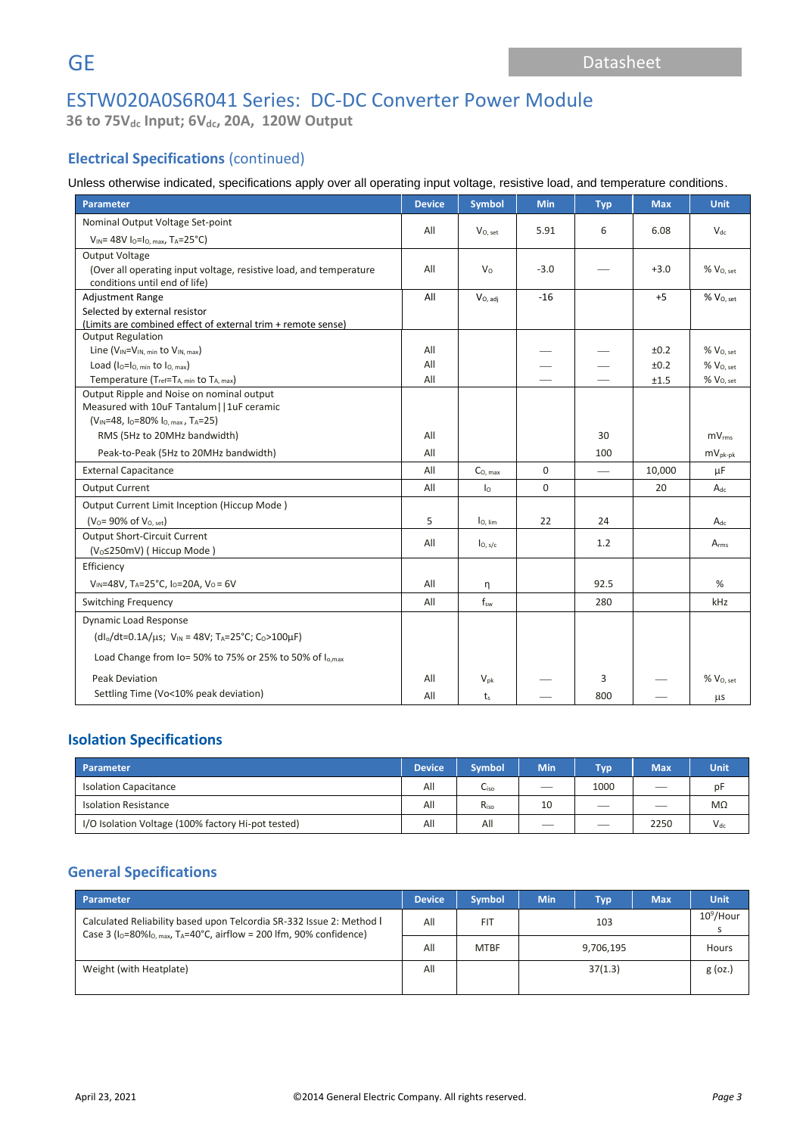**36 to 75Vdc Input; 6Vdc, 20A, 120W Output**

# **Electrical Specifications** (continued)

### Unless otherwise indicated, specifications apply over all operating input voltage, resistive load, and temperature conditions.

| <b>Parameter</b>                                                           | <b>Device</b> | <b>Symbol</b>       | Min         | <b>Typ</b> | <b>Max</b> | Unit                  |
|----------------------------------------------------------------------------|---------------|---------------------|-------------|------------|------------|-----------------------|
| Nominal Output Voltage Set-point                                           |               |                     |             |            |            |                       |
| $V_{IN}$ = 48V I <sub>0</sub> =I <sub>0</sub> . max, T <sub>A</sub> =25°C) | All           | $V_{0.5}$ et        | 5.91        | 6          | 6.08       | $V_{dc}$              |
| <b>Output Voltage</b>                                                      |               |                     |             |            |            |                       |
| (Over all operating input voltage, resistive load, and temperature         | All           | $V_{\Omega}$        | $-3.0$      |            | $+3.0$     | % V <sub>O, set</sub> |
| conditions until end of life)<br><b>Adjustment Range</b>                   | All           |                     | $-16$       |            | $+5$       | $%$ $V0. set$         |
| Selected by external resistor                                              |               | $V_{O, \, adj}$     |             |            |            |                       |
| (Limits are combined effect of external trim + remote sense)               |               |                     |             |            |            |                       |
| <b>Output Regulation</b>                                                   |               |                     |             |            |            |                       |
| Line (V <sub>IN</sub> =V <sub>IN, min</sub> to V <sub>IN, max</sub> )      | All           |                     |             |            | ±0.2       | $%$ $V_{O.}$ set      |
| Load $(I_0 = I_0$ , min to $I_0$ , max)                                    | All           |                     |             |            | ±0.2       | $%$ $V0. set$         |
| Temperature (Tref=TA, min to TA, max)                                      | All           |                     |             |            | ±1.5       | % V <sub>O, set</sub> |
| Output Ripple and Noise on nominal output                                  |               |                     |             |            |            |                       |
| Measured with 10uF Tantalum     1uF ceramic                                |               |                     |             |            |            |                       |
| (V <sub>IN</sub> =48, lo=80% lo, max, TA=25)                               |               |                     |             |            |            |                       |
| RMS (5Hz to 20MHz bandwidth)                                               | All           |                     |             | 30         |            | mV <sub>rms</sub>     |
| Peak-to-Peak (5Hz to 20MHz bandwidth)                                      | All           |                     |             | 100        |            | $mV_{\text{pk-bk}}$   |
| <b>External Capacitance</b>                                                | All           | $CO$ max            | $\mathbf 0$ |            | 10,000     | μF                    |
| <b>Output Current</b>                                                      | All           | I <sub>0</sub>      | $\Omega$    |            | 20         | $A_{dc}$              |
| Output Current Limit Inception (Hiccup Mode)                               |               |                     |             |            |            |                       |
| $(V_0 = 90\% \text{ of } V_{0, \text{ set}})$                              | 5             | lo, lim             | 22          | 24         |            | $A_{dc}$              |
| <b>Output Short-Circuit Current</b>                                        | All           | I <sub>O, s/c</sub> |             | 1.2        |            | A <sub>rms</sub>      |
| (V <sub>o</sub> ≤250mV) (Hiccup Mode)                                      |               |                     |             |            |            |                       |
| Efficiency                                                                 |               |                     |             |            |            |                       |
| $V_{IN} = 48V$ , TA=25°C, Io=20A, Vo=6V                                    | All           | η                   |             | 92.5       |            | %                     |
| <b>Switching Frequency</b>                                                 | All           | f <sub>sw</sub>     |             | 280        |            | kHz                   |
| Dynamic Load Response                                                      |               |                     |             |            |            |                       |
| $(dI_0/dt=0.1A/\mu s; V_{IN} = 48V; T_A=25°C; C_0>100\mu F)$               |               |                     |             |            |            |                       |
| Load Change from Io= 50% to 75% or 25% to 50% of I <sub>o,max</sub>        |               |                     |             |            |            |                       |
| <b>Peak Deviation</b>                                                      | All           | $V_{\text{pk}}$     |             | 3          |            | $\%$ $V_{O, set}$     |
| Settling Time (Vo<10% peak deviation)                                      | All           | $t_s$               |             | 800        |            | $\mu$ s               |

### **Isolation Specifications**

| Parameter                                          | <b>Device</b> | <b>Symbol</b> | <b>Min</b> | <b>Tvp</b> | <b>Max</b> | Unit     |
|----------------------------------------------------|---------------|---------------|------------|------------|------------|----------|
| <b>Isolation Capacitance</b>                       | All           | Liso          | __         | 1000       |            | pF       |
| <b>Isolation Resistance</b>                        | All           | Riso          | 10         | __         |            | MΩ       |
| I/O Isolation Voltage (100% factory Hi-pot tested) | All           | All           | __         | __         | 2250       | $V_{dc}$ |

### **General Specifications**

| Parameter                                                                                                                                                       | <b>Device</b> | <b>Symbol</b>            | <b>Min</b> | <b>Typ</b> | <b>Max</b> | <b>Unit</b>  |
|-----------------------------------------------------------------------------------------------------------------------------------------------------------------|---------------|--------------------------|------------|------------|------------|--------------|
| Calculated Reliability based upon Telcordia SR-332 Issue 2: Method I<br>Case 3 ( $I_0$ =80% $I_0$ max, T <sub>A</sub> =40°C, airflow = 200 lfm, 90% confidence) | All           | <b>FIT</b>               |            | 103        |            | $10^9$ /Hour |
|                                                                                                                                                                 | All           | <b>MTBF</b><br>9,706,195 |            |            |            |              |
| Weight (with Heatplate)                                                                                                                                         | All           |                          |            | 37(1.3)    |            | $g$ (oz.)    |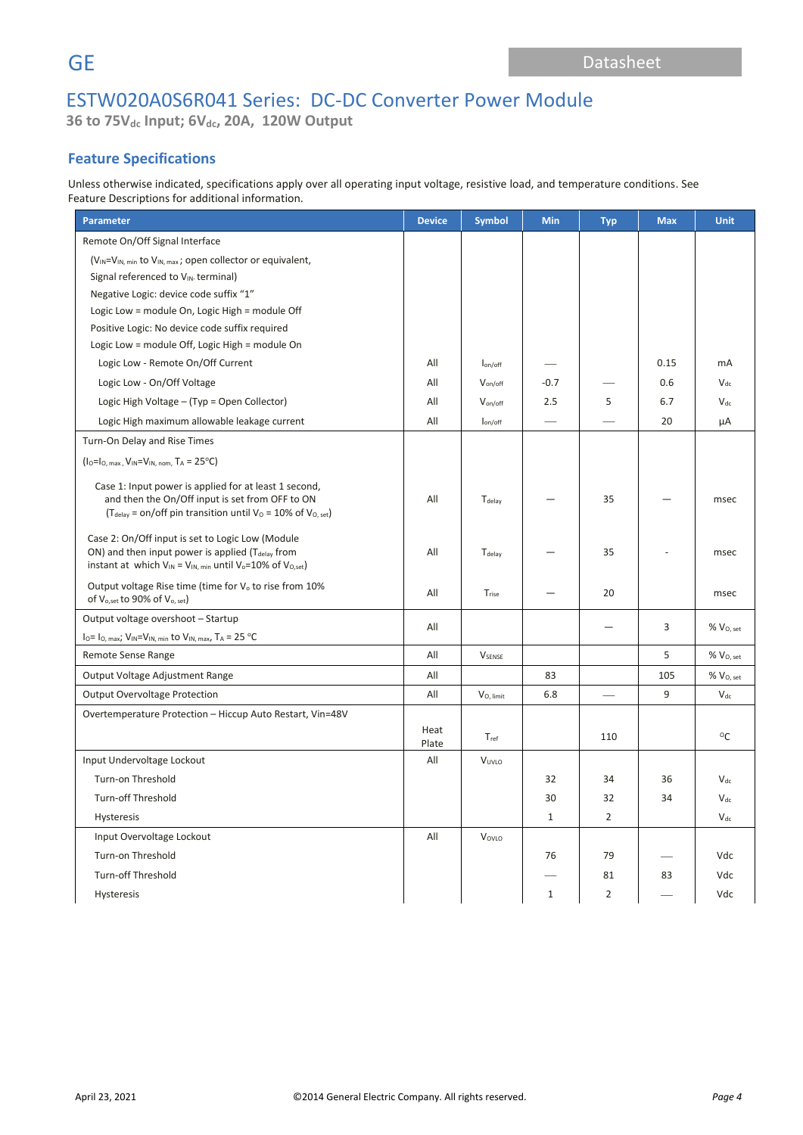**36 to 75Vdc Input; 6Vdc, 20A, 120W Output**

## **Feature Specifications**

Unless otherwise indicated, specifications apply over all operating input voltage, resistive load, and temperature conditions. See Feature Descriptions for additional information.

| <b>Parameter</b>                                                                                                                                                                            | <b>Device</b> | <b>Symbol</b>          | <b>Min</b>   | <b>Typ</b>     | <b>Max</b> | <b>Unit</b>           |
|---------------------------------------------------------------------------------------------------------------------------------------------------------------------------------------------|---------------|------------------------|--------------|----------------|------------|-----------------------|
| Remote On/Off Signal Interface                                                                                                                                                              |               |                        |              |                |            |                       |
| $(V_{IN} = V_{IN, min}$ to $V_{IN, max}$ ; open collector or equivalent,                                                                                                                    |               |                        |              |                |            |                       |
| Signal referenced to VIN-terminal)                                                                                                                                                          |               |                        |              |                |            |                       |
| Negative Logic: device code suffix "1"                                                                                                                                                      |               |                        |              |                |            |                       |
| Logic Low = module On, Logic High = module Off                                                                                                                                              |               |                        |              |                |            |                       |
| Positive Logic: No device code suffix required                                                                                                                                              |               |                        |              |                |            |                       |
| Logic Low = module Off, Logic High = module On                                                                                                                                              |               |                        |              |                |            |                       |
| Logic Low - Remote On/Off Current                                                                                                                                                           | All           | lon/off                |              |                | 0.15       | mA                    |
| Logic Low - On/Off Voltage                                                                                                                                                                  | All           | V <sub>on/off</sub>    | $-0.7$       |                | 0.6        | $V_{dc}$              |
| Logic High Voltage - (Typ = Open Collector)                                                                                                                                                 | All           | $V_{on/off}$           | 2.5          | 5              | 6.7        | $V_{dc}$              |
| Logic High maximum allowable leakage current                                                                                                                                                | All           | $I_{on/off}$           |              |                | 20         | μA                    |
| Turn-On Delay and Rise Times                                                                                                                                                                |               |                        |              |                |            |                       |
| $(10=10, max, VIN=VIN, nom, TA= 25°C)$                                                                                                                                                      |               |                        |              |                |            |                       |
| Case 1: Input power is applied for at least 1 second,<br>and then the On/Off input is set from OFF to ON<br>(T <sub>delay</sub> = on/off pin transition until $V_0$ = 10% of $V_{O, set}$ ) | All           | Tdelay                 |              | 35             |            | msec                  |
| Case 2: On/Off input is set to Logic Low (Module<br>ON) and then input power is applied $(T_{delay}$ from<br>instant at which $V_{IN} = V_{IN, min}$ until $V_0 = 10\%$ of $V_{O, set}$ )   | All           | T <sub>delay</sub>     |              | 35             |            | msec                  |
| Output voltage Rise time (time for V <sub>o</sub> to rise from 10%<br>of V <sub>o,set</sub> to 90% of V <sub>o, set</sub> )                                                                 | All           | Trise                  |              | 20             |            | msec                  |
| Output voltage overshoot - Startup                                                                                                                                                          | All           |                        |              |                | 3          | $%$ $V0, set$         |
| $I_0 = I_{0, max}$ ; $V_{IN} = V_{IN, min}$ to $V_{IN, max}$ , $T_A = 25$ °C                                                                                                                |               |                        |              |                |            |                       |
| Remote Sense Range                                                                                                                                                                          | All           | <b>V</b> SENSE         |              |                | 5          | % V <sub>O, set</sub> |
| Output Voltage Adjustment Range                                                                                                                                                             | All           |                        | 83           |                | 105        | % V <sub>O, set</sub> |
| <b>Output Overvoltage Protection</b>                                                                                                                                                        | All           | V <sub>O</sub> , limit | 6.8          |                | 9          | $V_{dc}$              |
| Overtemperature Protection - Hiccup Auto Restart, Vin=48V                                                                                                                                   | Heat<br>Plate | Tref                   |              | 110            |            | $^{\circ}$ C          |
| Input Undervoltage Lockout                                                                                                                                                                  | All           | VUVLO                  |              |                |            |                       |
| Turn-on Threshold                                                                                                                                                                           |               |                        | 32           | 34             | 36         | $V_{dc}$              |
| <b>Turn-off Threshold</b>                                                                                                                                                                   |               |                        | 30           | 32             | 34         | $V_{dc}$              |
| Hysteresis                                                                                                                                                                                  |               |                        | $\mathbf{1}$ | $\overline{2}$ |            | $V_{dc}$              |
| Input Overvoltage Lockout                                                                                                                                                                   | All           | VOVLO                  |              |                |            |                       |
| Turn-on Threshold                                                                                                                                                                           |               |                        | 76           | 79             |            | Vdc                   |
| <b>Turn-off Threshold</b>                                                                                                                                                                   |               |                        |              | 81             | 83         | Vdc                   |
| Hysteresis                                                                                                                                                                                  |               |                        | $\mathbf{1}$ | $\overline{2}$ |            | Vdc                   |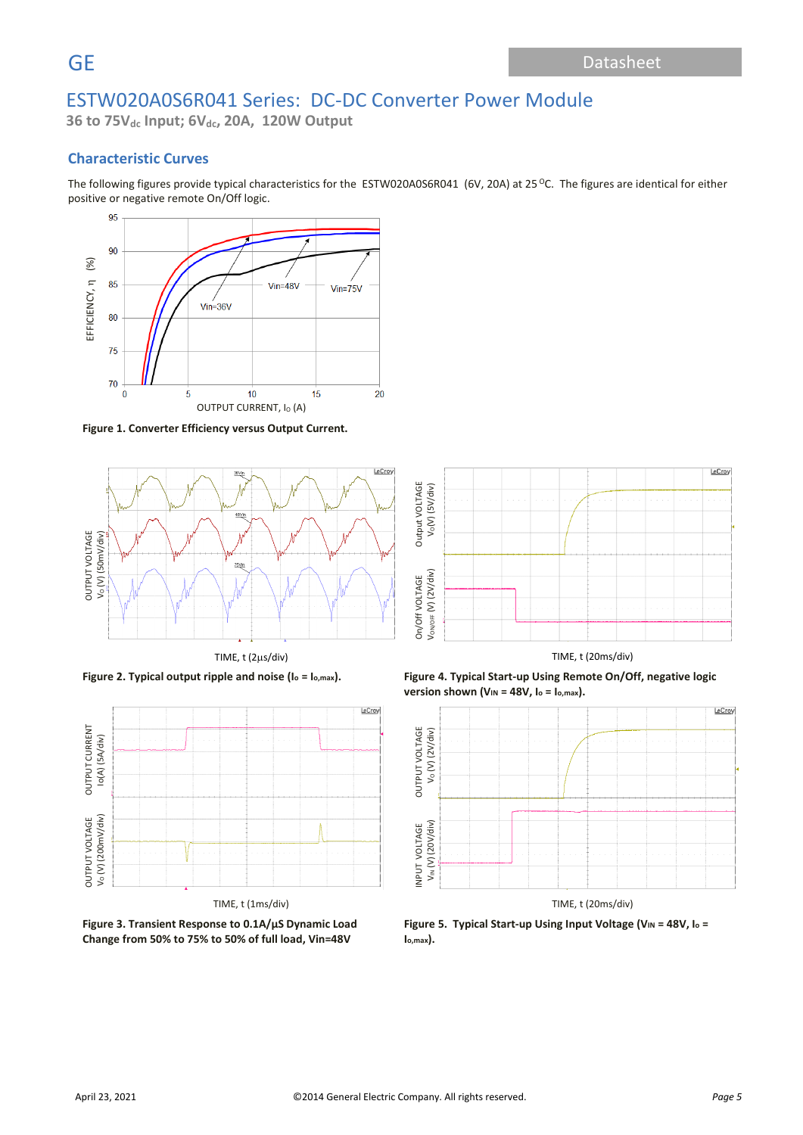**36 to 75Vdc Input; 6Vdc, 20A, 120W Output**

### **Characteristic Curves**

The following figures provide typical characteristics for the ESTW020A0S6R041 (6V, 20A) at 25 °C. The figures are identical for either positive or negative remote On/Off logic.



**Figure 1. Converter Efficiency versus Output Current.**





**Figure 3. Transient Response to 0.1A/µS Dynamic Load Change from 50% to 75% to 50% of full load, Vin=48V**



**Figure 2. Typical output ripple and noise (I<sup>o</sup> = Io,max). Figure 4. Typical Start-up Using Remote On/Off, negative logic version shown (VIN = 48V, I<sup>o</sup> = Io,max).**



Figure 5. Typical Start-up Using Input Voltage (V<sub>IN</sub> = 48V, I<sub>0</sub> = **Io,max).**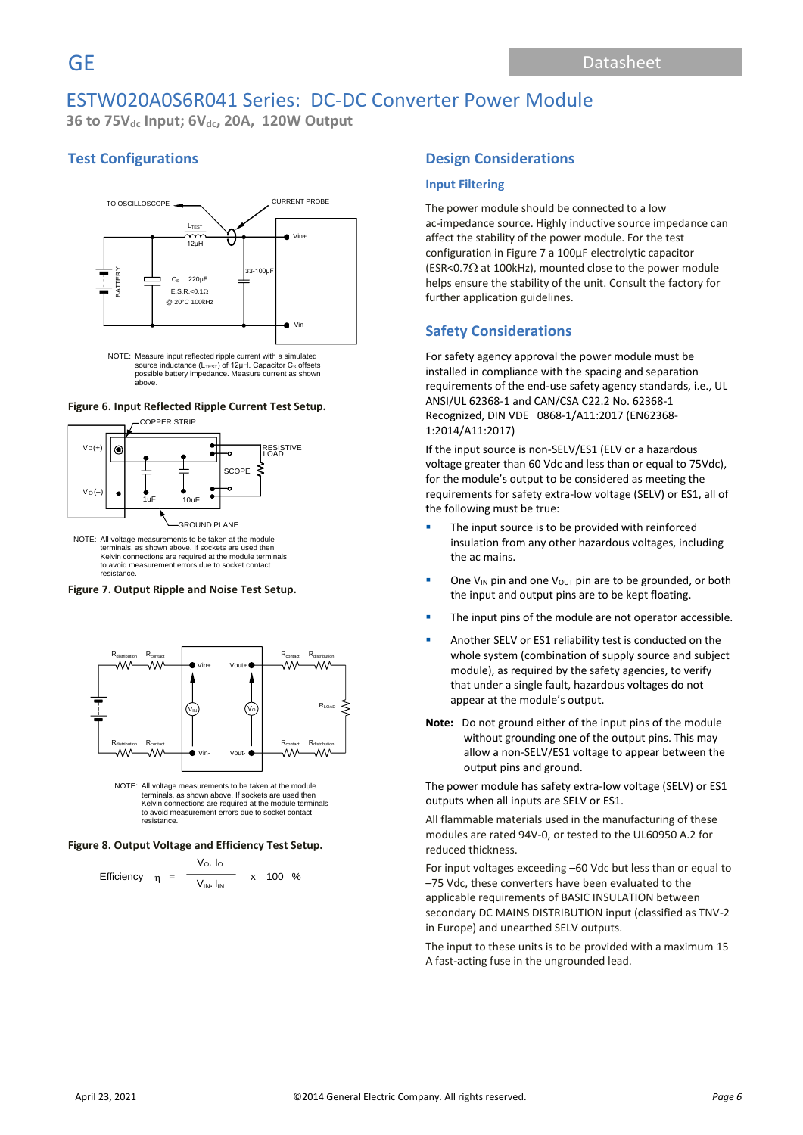**36 to 75Vdc Input; 6Vdc, 20A, 120W Output**

# **Test Configurations**



source inductance (L<sub>TEsT</sub>) of 12μH. Capacitor C<sub>s</sub> offsets<br>possible battery impedance. Measure current as shown above.

#### **Figure 6. Input Reflected Ripple Current Test Setup.**



NOTE: All voltage measurements to be taken at the module s, as shown above. If sockets are used then Kelvin connections are required at the module terminals to avoid measurement errors due to socket contact resistance.

#### **Figure 7. Output Ripple and Noise Test Setup.**



NOTE: All voltage measurements to be taken at the module terminals, as shown above. If sockets are used then Kelvin connections are required at the module terminals to avoid measurement errors due to socket contact resistance.

#### **Figure 8. Output Voltage and Efficiency Test Setup.**

Efficiency 
$$
\eta = \frac{V_0. I_0}{V_{IN} I_{IN}}
$$
 x 100 %

### **Design Considerations**

#### **Input Filtering**

The power module should be connected to a low ac-impedance source. Highly inductive source impedance can affect the stability of the power module. For the test configuration in Figure 7 a 100μF electrolytic capacitor (ESR<0.7 $\Omega$  at 100kHz), mounted close to the power module helps ensure the stability of the unit. Consult the factory for further application guidelines.

### **Safety Considerations**

For safety agency approval the power module must be installed in compliance with the spacing and separation requirements of the end-use safety agency standards, i.e., UL ANSI/UL 62368-1 and CAN/CSA C22.2 No. 62368-1 Recognized, DIN VDE 0868-1/A11:2017 (EN62368- 1:2014/A11:2017)

If the input source is non-SELV/ES1 (ELV or a hazardous voltage greater than 60 Vdc and less than or equal to 75Vdc), for the module's output to be considered as meeting the requirements for safety extra-low voltage (SELV) or ES1, all of the following must be true:

- The input source is to be provided with reinforced insulation from any other hazardous voltages, including the ac mains.
- **•** One V<sub>IN</sub> pin and one V<sub>OUT</sub> pin are to be grounded, or both the input and output pins are to be kept floating.
- The input pins of the module are not operator accessible.
- Another SELV or ES1 reliability test is conducted on the whole system (combination of supply source and subject module), as required by the safety agencies, to verify that under a single fault, hazardous voltages do not appear at the module's output.
- **Note:** Do not ground either of the input pins of the module without grounding one of the output pins. This may allow a non-SELV/ES1 voltage to appear between the output pins and ground.

The power module has safety extra-low voltage (SELV) or ES1 outputs when all inputs are SELV or ES1.

All flammable materials used in the manufacturing of these modules are rated 94V-0, or tested to the UL60950 A.2 for reduced thickness.

For input voltages exceeding –60 Vdc but less than or equal to –75 Vdc, these converters have been evaluated to the applicable requirements of BASIC INSULATION between secondary DC MAINS DISTRIBUTION input (classified as TNV-2 in Europe) and unearthed SELV outputs.

The input to these units is to be provided with a maximum 15 A fast-acting fuse in the ungrounded lead.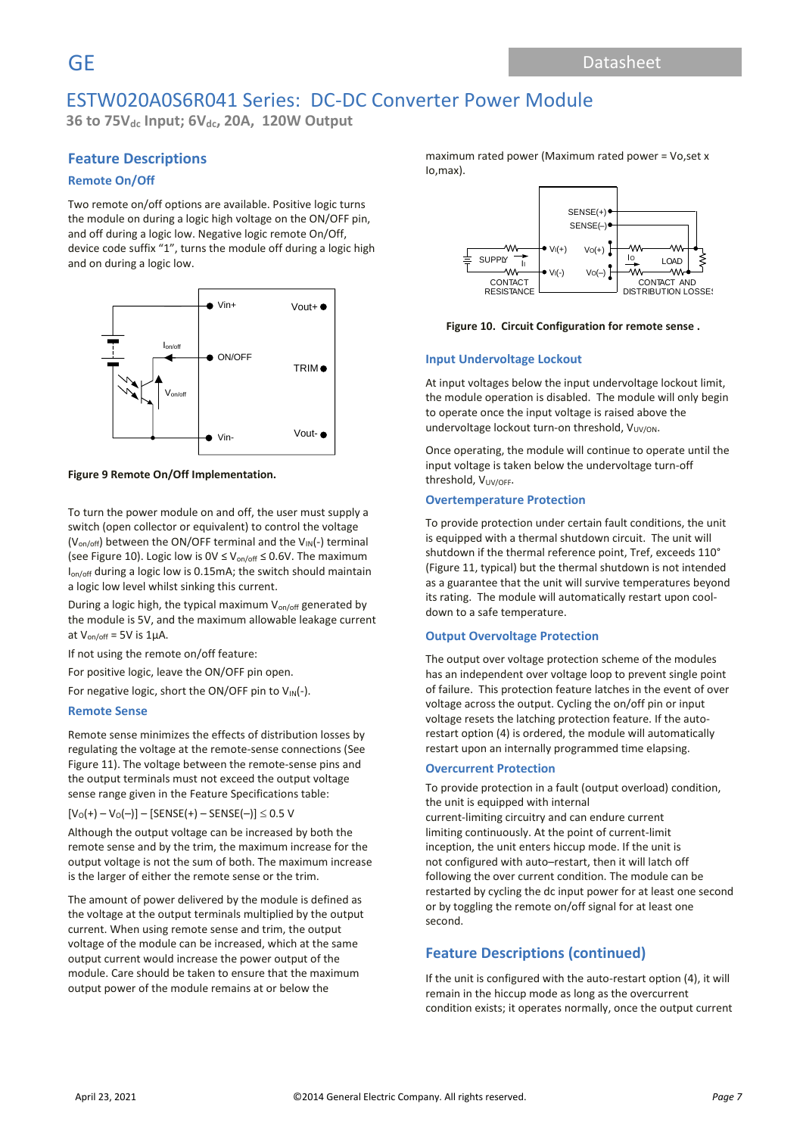**36 to 75Vdc Input; 6Vdc, 20A, 120W Output**

### **Feature Descriptions**

#### **Remote On/Off**

Two remote on/off options are available. Positive logic turns the module on during a logic high voltage on the ON/OFF pin, and off during a logic low. Negative logic remote On/Off, device code suffix "1", turns the module off during a logic high and on during a logic low.



#### **Figure 9 Remote On/Off Implementation.**

To turn the power module on and off, the user must supply a switch (open collector or equivalent) to control the voltage ( $V_{on/off}$ ) between the ON/OFF terminal and the  $V_{IN}(-)$  terminal (see Figure 10). Logic low is  $0 \vee \leq V_{on/off} \leq 0.6 V$ . The maximum Ion/off during a logic low is 0.15mA; the switch should maintain a logic low level whilst sinking this current.

During a logic high, the typical maximum  $V_{on/off}$  generated by the module is 5V, and the maximum allowable leakage current at  $V_{on/off}$  = 5V is 1µA.

If not using the remote on/off feature:

For positive logic, leave the ON/OFF pin open.

For negative logic, short the ON/OFF pin to  $V_{IN}(-)$ .

#### **Remote Sense**

Remote sense minimizes the effects of distribution losses by regulating the voltage at the remote-sense connections (See Figure 11). The voltage between the remote-sense pins and the output terminals must not exceed the output voltage sense range given in the Feature Specifications table:

 $[V_O(+) - V_O(-)] -$  [SENSE(+) – SENSE(-)]  $\leq 0.5$  V

Although the output voltage can be increased by both the remote sense and by the trim, the maximum increase for the output voltage is not the sum of both. The maximum increase is the larger of either the remote sense or the trim.

The amount of power delivered by the module is defined as the voltage at the output terminals multiplied by the output current. When using remote sense and trim, the output voltage of the module can be increased, which at the same output current would increase the power output of the module. Care should be taken to ensure that the maximum output power of the module remains at or below the

maximum rated power (Maximum rated power = Vo,set x Io,max).



**Figure 10. Circuit Configuration for remote sense .**

#### **Input Undervoltage Lockout**

At input voltages below the input undervoltage lockout limit, the module operation is disabled. The module will only begin to operate once the input voltage is raised above the undervoltage lockout turn-on threshold, V<sub>UV/ON</sub>.

Once operating, the module will continue to operate until the input voltage is taken below the undervoltage turn-off threshold, V<sub>UV/OFF</sub>.

#### **Overtemperature Protection**

To provide protection under certain fault conditions, the unit is equipped with a thermal shutdown circuit. The unit will shutdown if the thermal reference point, Tref, exceeds 110° (Figure 11, typical) but the thermal shutdown is not intended as a guarantee that the unit will survive temperatures beyond its rating. The module will automatically restart upon cooldown to a safe temperature.

#### **Output Overvoltage Protection**

The output over voltage protection scheme of the modules has an independent over voltage loop to prevent single point of failure. This protection feature latches in the event of over voltage across the output. Cycling the on/off pin or input voltage resets the latching protection feature. If the autorestart option (4) is ordered, the module will automatically restart upon an internally programmed time elapsing.

#### **Overcurrent Protection**

To provide protection in a fault (output overload) condition, the unit is equipped with internal current-limiting circuitry and can endure current limiting continuously. At the point of current-limit inception, the unit enters hiccup mode. If the unit is not configured with auto–restart, then it will latch off following the over current condition. The module can be restarted by cycling the dc input power for at least one second or by toggling the remote on/off signal for at least one second.

### **Feature Descriptions (continued)**

If the unit is configured with the auto-restart option (4), it will remain in the hiccup mode as long as the overcurrent condition exists; it operates normally, once the output current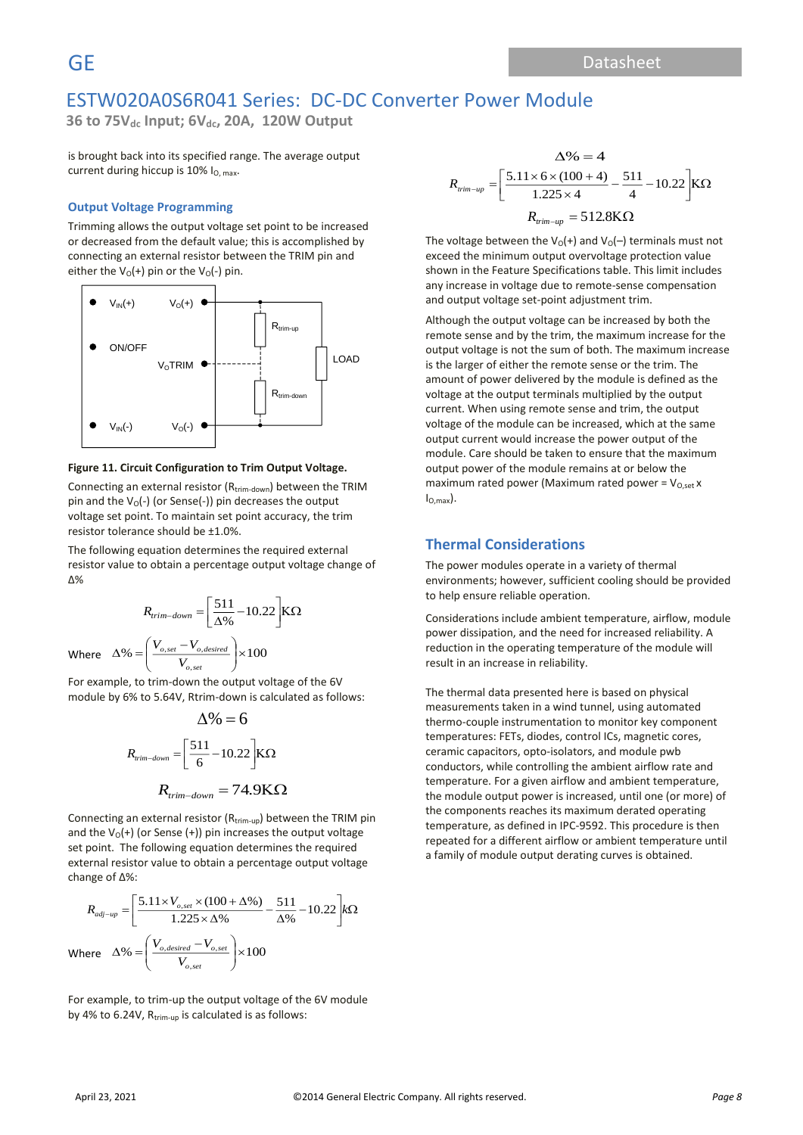**36 to 75Vdc Input; 6Vdc, 20A, 120W Output**

is brought back into its specified range. The average output current during hiccup is 10% I<sub>O, max</sub>.

#### **Output Voltage Programming**

Trimming allows the output voltage set point to be increased or decreased from the default value; this is accomplished by connecting an external resistor between the TRIM pin and either the  $V_0(+)$  pin or the  $V_0(-)$  pin.



#### **Figure 11. Circuit Configuration to Trim Output Voltage.**

Connecting an external resistor (R<sub>trim-down</sub>) between the TRIM pin and the  $V_0$ (-) (or Sense(-)) pin decreases the output voltage set point. To maintain set point accuracy, the trim resistor tolerance should be ±1.0%.

The following equation determines the required external resistor value to obtain a percentage output voltage change of Δ%

$$
R_{trim-down} = \left[\frac{511}{\Delta\%} - 10.22\right] K\Omega
$$
  
Where 
$$
\Delta\% = \left(\frac{V_{o,set} - V_{o,desired}}{V_{o,set}}\right) \times 100
$$

For example, to trim-down the output voltage of the 6V module by 6% to 5.64V, Rtrim-down is calculated as follows:

$$
\Delta\% = 6
$$
  

$$
R_{\text{rim-down}} = \left[\frac{511}{6} - 10.22\right] \text{K}\Omega
$$
  

$$
R_{\text{trim-down}} = 74.9 \text{K}\Omega
$$

Connecting an external resistor (Rtrim-up) between the TRIM pin and the  $V_0(+)$  (or Sense (+)) pin increases the output voltage set point. The following equation determines the required external resistor value to obtain a percentage output voltage change of Δ%:

$$
R_{adj-up} = \left[\frac{5.11 \times V_{o,set} \times (100 + \Delta\%)}{1.225 \times \Delta\%} - \frac{511}{\Delta\%} - 10.22\right] k\Omega
$$
  
where  $\Delta\% = \left(\frac{V_{o,desired} - V_{o,set}}{V_{o,set}}\right) \times 100$ 

For example, to trim-up the output voltage of the 6V module by 4% to 6.24V,  $R_{trim-up}$  is calculated is as follows:

$$
\Delta\% = 4
$$
  

$$
R_{\text{rim-up}} = \left[\frac{5.11 \times 6 \times (100 + 4)}{1.225 \times 4} - \frac{511}{4} - 10.22\right] K\Omega
$$
  

$$
R_{\text{rim-up}} = 512.8 K\Omega
$$

The voltage between the  $V_0(+)$  and  $V_0(-)$  terminals must not exceed the minimum output overvoltage protection value shown in the Feature Specifications table. This limit includes any increase in voltage due to remote-sense compensation and output voltage set-point adjustment trim.

Although the output voltage can be increased by both the remote sense and by the trim, the maximum increase for the output voltage is not the sum of both. The maximum increase is the larger of either the remote sense or the trim. The amount of power delivered by the module is defined as the voltage at the output terminals multiplied by the output current. When using remote sense and trim, the output voltage of the module can be increased, which at the same output current would increase the power output of the module. Care should be taken to ensure that the maximum output power of the module remains at or below the maximum rated power (Maximum rated power =  $V_{O,set}$  x  $I_{\Omega \text{ max}}$ ).

### **Thermal Considerations**

The power modules operate in a variety of thermal environments; however, sufficient cooling should be provided to help ensure reliable operation.

Considerations include ambient temperature, airflow, module power dissipation, and the need for increased reliability. A reduction in the operating temperature of the module will result in an increase in reliability.

The thermal data presented here is based on physical measurements taken in a wind tunnel, using automated thermo-couple instrumentation to monitor key component temperatures: FETs, diodes, control ICs, magnetic cores, ceramic capacitors, opto-isolators, and module pwb conductors, while controlling the ambient airflow rate and temperature. For a given airflow and ambient temperature, the module output power is increased, until one (or more) of the components reaches its maximum derated operating temperature, as defined in IPC-9592. This procedure is then repeated for a different airflow or ambient temperature until a family of module output derating curves is obtained.

 $\mathsf{v}$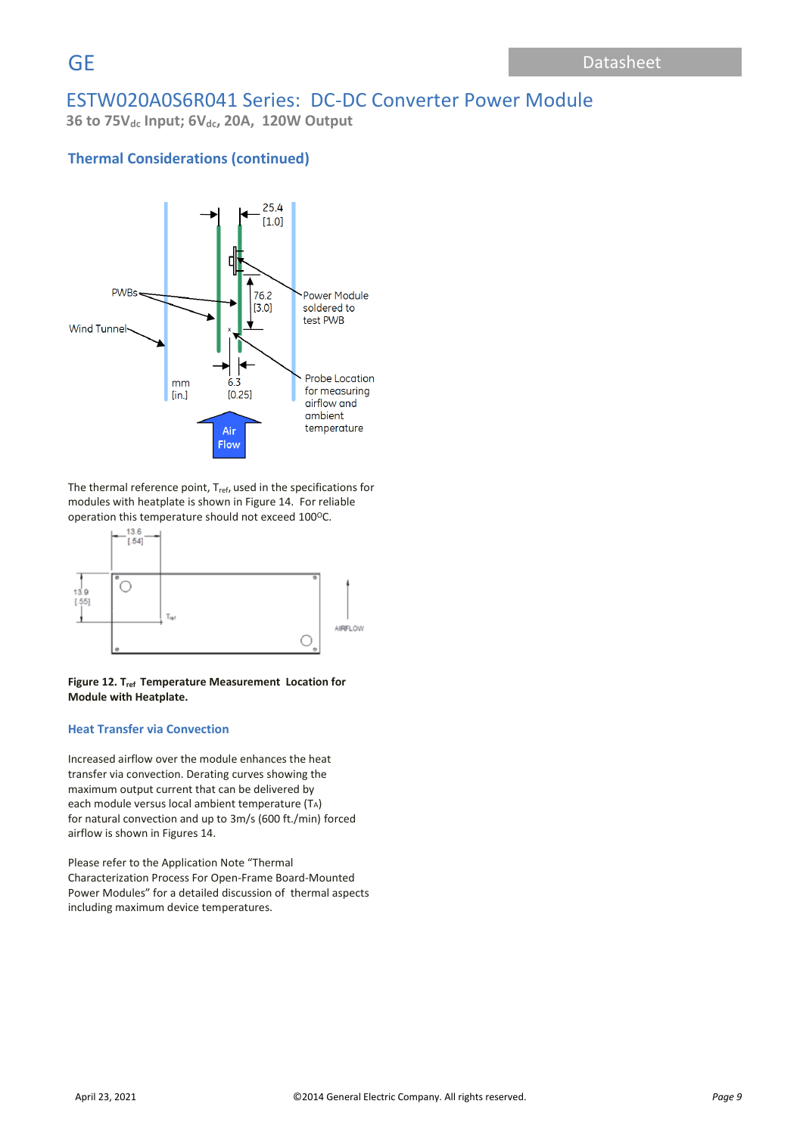**36 to 75Vdc Input; 6Vdc, 20A, 120W Output**

# **Thermal Considerations (continued)**



The thermal reference point, T<sub>ref</sub>, used in the specifications for modules with heatplate is shown in Figure 14. For reliable operation this temperature should not exceed 100°C.



#### **Figure 12. Tref Temperature Measurement Location for Module with Heatplate.**

#### **Heat Transfer via Convection**

Increased airflow over the module enhances the heat transfer via convection. Derating curves showing the maximum output current that can be delivered by each module versus local ambient temperature (TA) for natural convection and up to 3m/s (600 ft./min) forced airflow is shown in Figures 14.

Please refer to the Application Note "Thermal Characterization Process For Open-Frame Board-Mounted Power Modules" for a detailed discussion of thermal aspects including maximum device temperatures.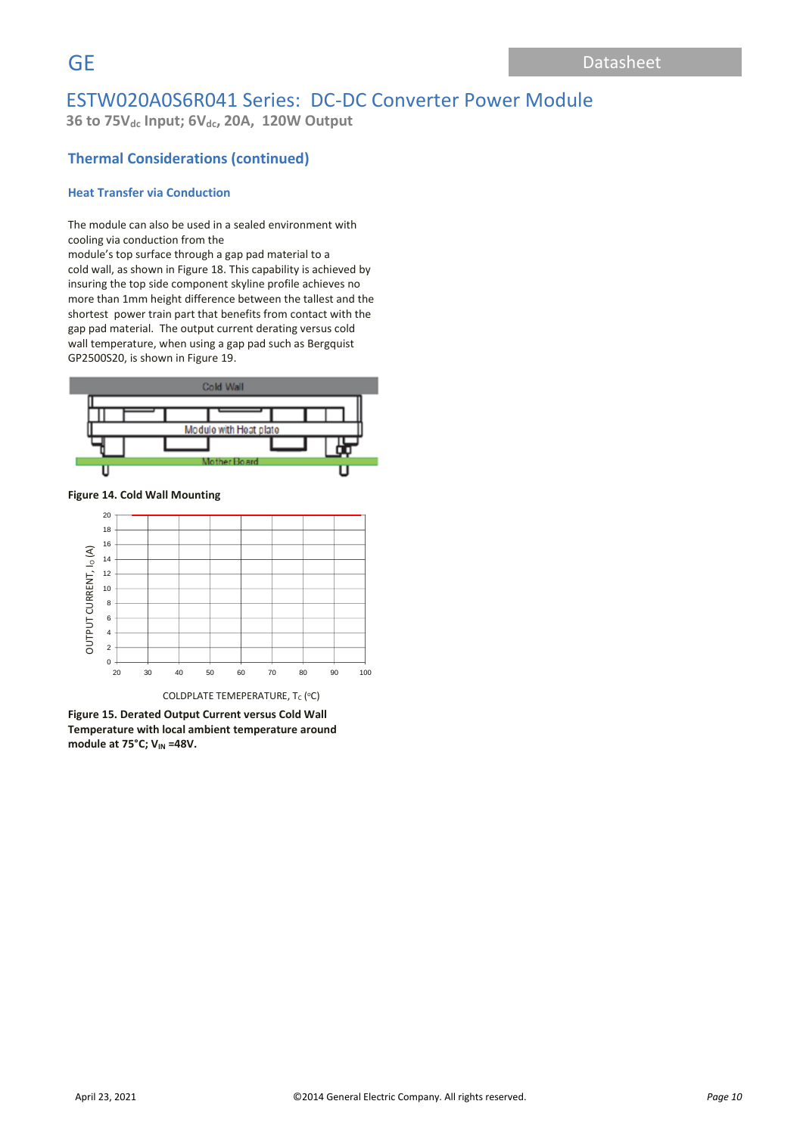**36 to 75Vdc Input; 6Vdc, 20A, 120W Output**

# **Thermal Considerations (continued)**

### **Heat Transfer via Conduction**

The module can also be used in a sealed environment with cooling via conduction from the

module's top surface through a gap pad material to a cold wall, as shown in Figure 18. This capability is achieved by insuring the top side component skyline profile achieves no more than 1mm height difference between the tallest and the shortest power train part that benefits from contact with the gap pad material. The output current derating versus cold wall temperature, when using a gap pad such as Bergquist GP2500S20, is shown in Figure 19.



**Figure 14. Cold Wall Mounting**



**Figure 15. Derated Output Current versus Cold Wall Temperature with local ambient temperature around module at 75°C; VIN =48V.**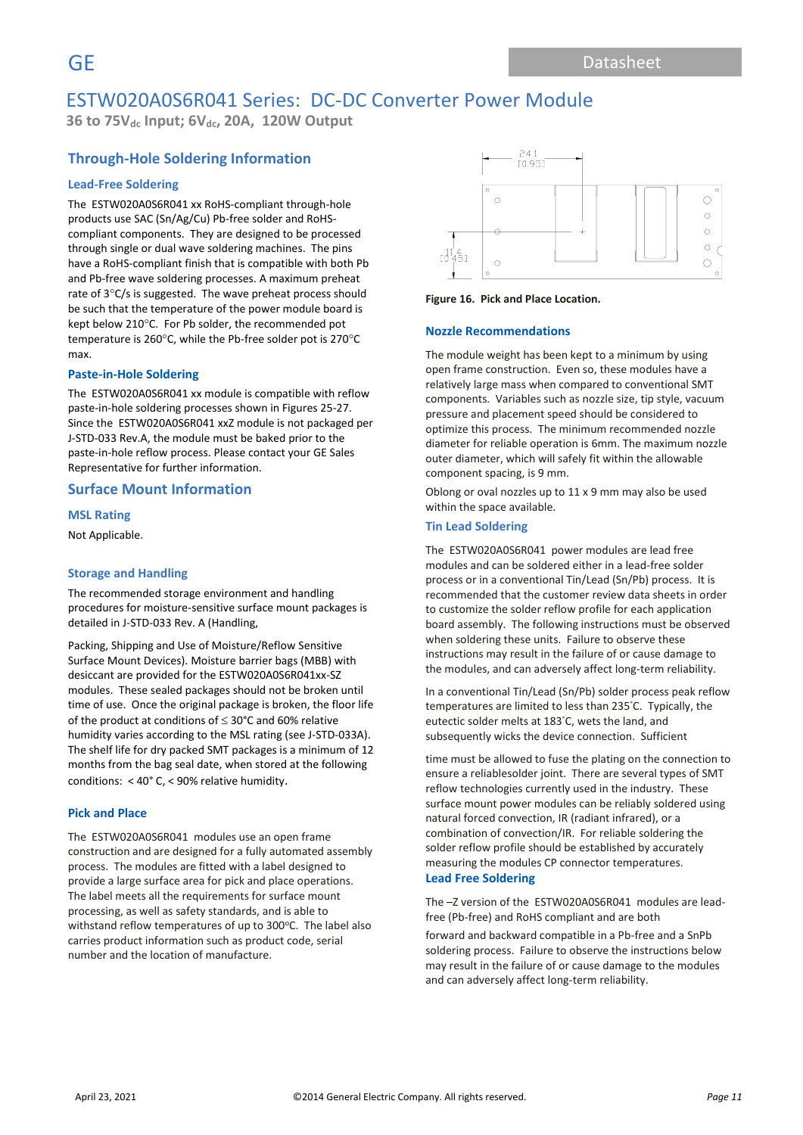**36 to 75Vdc Input; 6Vdc, 20A, 120W Output**

# **Through-Hole Soldering Information**

#### **Lead-Free Soldering**

The ESTW020A0S6R041 xx RoHS-compliant through-hole products use SAC (Sn/Ag/Cu) Pb-free solder and RoHScompliant components. They are designed to be processed through single or dual wave soldering machines. The pins have a RoHS-compliant finish that is compatible with both Pb and Pb-free wave soldering processes. A maximum preheat rate of  $3^{\circ}$ C/s is suggested. The wave preheat process should be such that the temperature of the power module board is kept below 210°C. For Pb solder, the recommended pot temperature is 260 $\degree$ C, while the Pb-free solder pot is 270 $\degree$ C max.

#### **Paste-in-Hole Soldering**

The ESTW020A0S6R041 xx module is compatible with reflow paste-in-hole soldering processes shown in Figures 25-27. Since the ESTW020A0S6R041 xxZ module is not packaged per J-STD-033 Rev.A, the module must be baked prior to the paste-in-hole reflow process. Please contact your GE Sales Representative for further information.

#### **Surface Mount Information**

**MSL Rating** Not Applicable.

#### **Storage and Handling**

The recommended storage environment and handling procedures for moisture-sensitive surface mount packages is detailed in J-STD-033 Rev. A (Handling,

Packing, Shipping and Use of Moisture/Reflow Sensitive Surface Mount Devices). Moisture barrier bags (MBB) with desiccant are provided for the ESTW020A0S6R041xx-SZ modules. These sealed packages should not be broken until time of use. Once the original package is broken, the floor life of the product at conditions of  $\leq$  30°C and 60% relative humidity varies according to the MSL rating (see J-STD-033A). The shelf life for dry packed SMT packages is a minimum of 12 months from the bag seal date, when stored at the following conditions: < 40° C, < 90% relative humidity.

#### **Pick and Place**

The ESTW020A0S6R041 modules use an open frame construction and are designed for a fully automated assembly process. The modules are fitted with a label designed to provide a large surface area for pick and place operations. The label meets all the requirements for surface mount processing, as well as safety standards, and is able to withstand reflow temperatures of up to 300°C. The label also carries product information such as product code, serial number and the location of manufacture.



#### **Figure 16. Pick and Place Location.**

#### **Nozzle Recommendations**

The module weight has been kept to a minimum by using open frame construction. Even so, these modules have a relatively large mass when compared to conventional SMT components. Variables such as nozzle size, tip style, vacuum pressure and placement speed should be considered to optimize this process. The minimum recommended nozzle diameter for reliable operation is 6mm. The maximum nozzle outer diameter, which will safely fit within the allowable component spacing, is 9 mm.

Oblong or oval nozzles up to 11 x 9 mm may also be used within the space available.

#### **Tin Lead Soldering**

The ESTW020A0S6R041 power modules are lead free modules and can be soldered either in a lead-free solder process or in a conventional Tin/Lead (Sn/Pb) process. It is recommended that the customer review data sheets in order to customize the solder reflow profile for each application board assembly. The following instructions must be observed when soldering these units. Failure to observe these instructions may result in the failure of or cause damage to the modules, and can adversely affect long-term reliability.

In a conventional Tin/Lead (Sn/Pb) solder process peak reflow temperatures are limited to less than 235°C. Typically, the eutectic solder melts at 183°C, wets the land, and subsequently wicks the device connection. Sufficient

time must be allowed to fuse the plating on the connection to ensure a reliablesolder joint. There are several types of SMT reflow technologies currently used in the industry. These surface mount power modules can be reliably soldered using natural forced convection, IR (radiant infrared), or a combination of convection/IR. For reliable soldering the solder reflow profile should be established by accurately measuring the modules CP connector temperatures. **Lead Free Soldering**

The –Z version of the ESTW020A0S6R041 modules are leadfree (Pb-free) and RoHS compliant and are both

forward and backward compatible in a Pb-free and a SnPb soldering process. Failure to observe the instructions below may result in the failure of or cause damage to the modules and can adversely affect long-term reliability.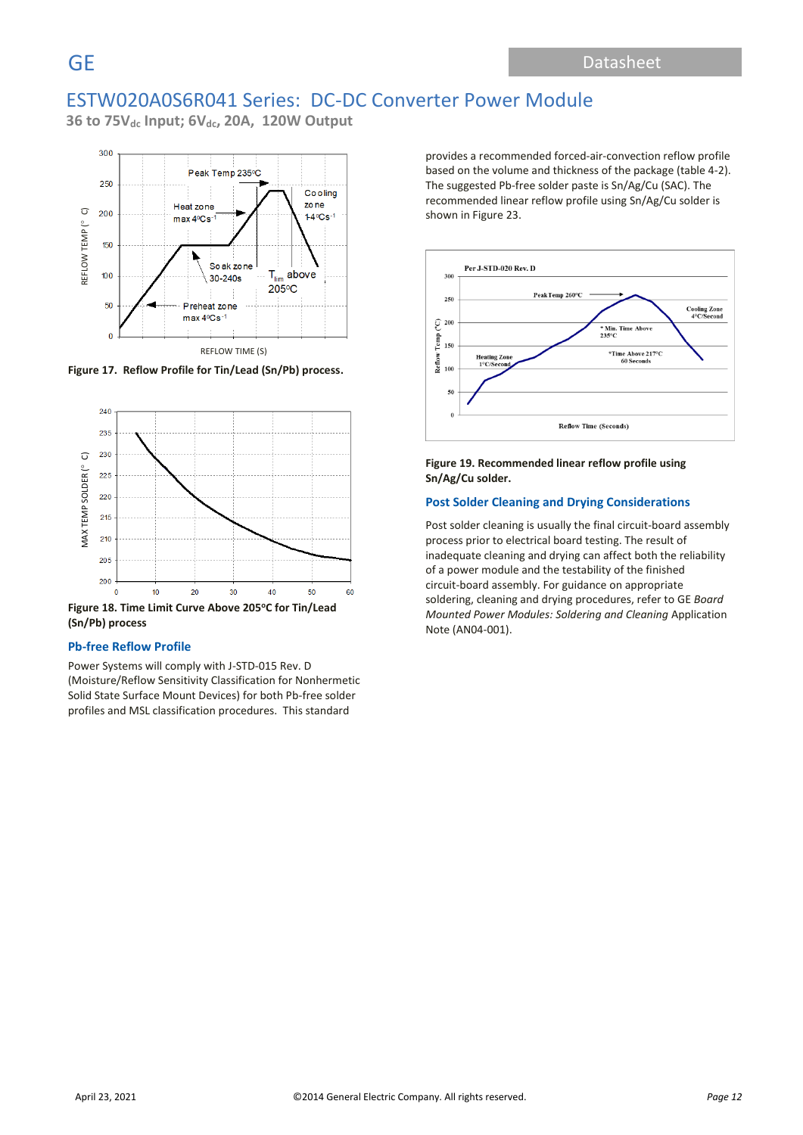**36 to 75Vdc Input; 6Vdc, 20A, 120W Output**



**Figure 17. Reflow Profile for Tin/Lead (Sn/Pb) process.**



**(Sn/Pb) process**

#### **Pb-free Reflow Profile**

Power Systems will comply with J-STD-015 Rev. D (Moisture/Reflow Sensitivity Classification for Nonhermetic Solid State Surface Mount Devices) for both Pb-free solder profiles and MSL classification procedures. This standard

provides a recommended forced-air-convection reflow profile based on the volume and thickness of the package (table 4-2). The suggested Pb-free solder paste is Sn/Ag/Cu (SAC). The recommended linear reflow profile using Sn/Ag/Cu solder is shown in Figure 23.



#### **Figure 19. Recommended linear reflow profile using Sn/Ag/Cu solder.**

#### **Post Solder Cleaning and Drying Considerations**

Post solder cleaning is usually the final circuit-board assembly process prior to electrical board testing. The result of inadequate cleaning and drying can affect both the reliability of a power module and the testability of the finished circuit-board assembly. For guidance on appropriate soldering, cleaning and drying procedures, refer to GE *Board Mounted Power Modules: Soldering and Cleaning* Application Note (AN04-001).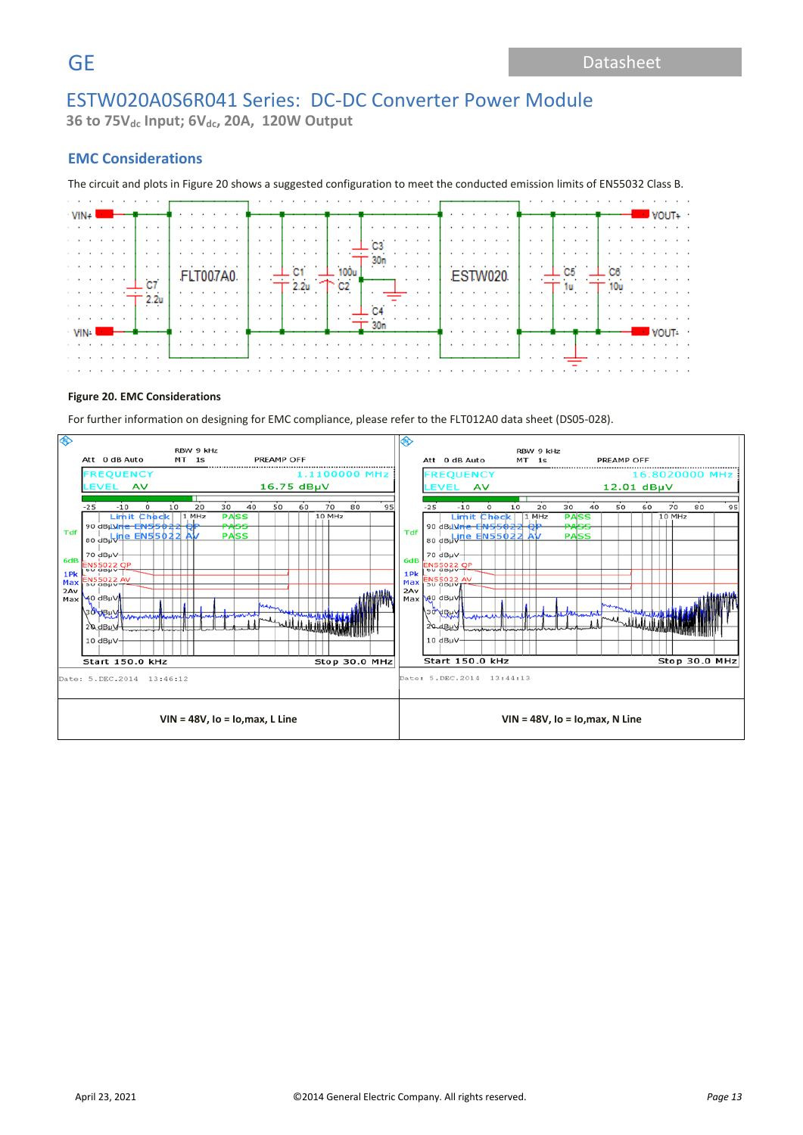**36 to 75Vdc Input; 6Vdc, 20A, 120W Output**

### **EMC Considerations**

The circuit and plots in Figure 20 shows a suggested configuration to meet the conducted emission limits of EN55032 Class B.

| $VIN +$      |  |   |              |  |  |  | . <b>.</b> |  |  |          |                                                                                                                                                                                                                                      |  |  |  |  |  |  |  |  |  | VOUT+          |  |
|--------------|--|---|--------------|--|--|--|------------|--|--|----------|--------------------------------------------------------------------------------------------------------------------------------------------------------------------------------------------------------------------------------------|--|--|--|--|--|--|--|--|--|----------------|--|
|              |  |   |              |  |  |  |            |  |  |          |                                                                                                                                                                                                                                      |  |  |  |  |  |  |  |  |  |                |  |
|              |  |   |              |  |  |  |            |  |  |          |                                                                                                                                                                                                                                      |  |  |  |  |  |  |  |  |  |                |  |
|              |  |   |              |  |  |  |            |  |  |          |                                                                                                                                                                                                                                      |  |  |  |  |  |  |  |  |  |                |  |
|              |  |   | .            |  |  |  | .          |  |  | $\cdots$ | <u>In 1999</u> , a consequent of the contract of the consequent of the contract of the contract of the contract of the contract of the contract of the contract of the contract of the contract of the contract of the contract of t |  |  |  |  |  |  |  |  |  |                |  |
| .            |  | . |              |  |  |  | .          |  |  |          |                                                                                                                                                                                                                                      |  |  |  |  |  |  |  |  |  | .              |  |
|              |  |   |              |  |  |  |            |  |  |          | . . <u>. .</u>                                                                                                                                                                                                                       |  |  |  |  |  |  |  |  |  |                |  |
|              |  |   |              |  |  |  |            |  |  |          |                                                                                                                                                                                                                                      |  |  |  |  |  |  |  |  |  |                |  |
|              |  |   |              |  |  |  |            |  |  |          |                                                                                                                                                                                                                                      |  |  |  |  |  |  |  |  |  |                |  |
|              |  |   |              |  |  |  |            |  |  |          |                                                                                                                                                                                                                                      |  |  |  |  |  |  |  |  |  |                |  |
| VIN <b>W</b> |  |   | <del>.</del> |  |  |  |            |  |  |          |                                                                                                                                                                                                                                      |  |  |  |  |  |  |  |  |  | VOUT-          |  |
|              |  |   |              |  |  |  |            |  |  |          |                                                                                                                                                                                                                                      |  |  |  |  |  |  |  |  |  |                |  |
|              |  |   | .            |  |  |  |            |  |  |          |                                                                                                                                                                                                                                      |  |  |  |  |  |  |  |  |  | . <del>.</del> |  |
| .            |  |   |              |  |  |  |            |  |  |          |                                                                                                                                                                                                                                      |  |  |  |  |  |  |  |  |  | .              |  |

#### **Figure 20. EMC Considerations**

For further information on designing for EMC compliance, please refer to the FLT012A0 data sheet (DS05-028).

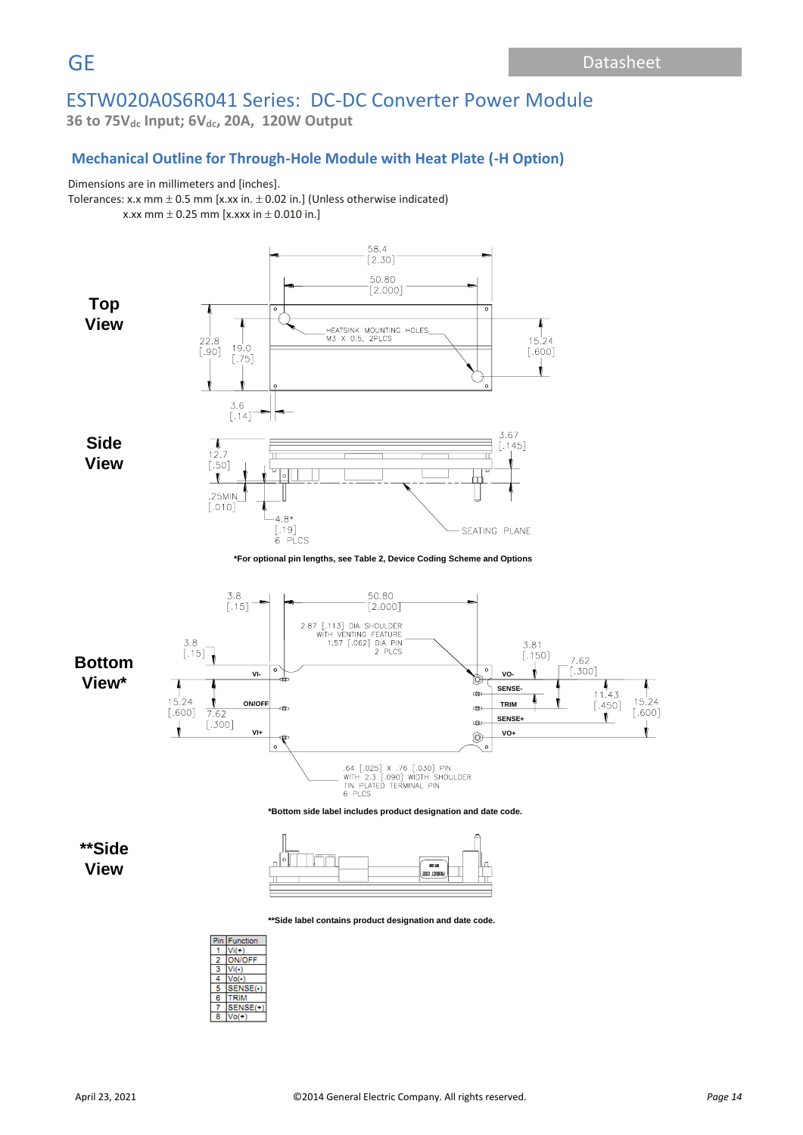**36 to 75Vdc Input; 6Vdc, 20A, 120W Output**

# **Mechanical Outline for Through-Hole Module with Heat Plate (-H Option)**

### Dimensions are in millimeters and [inches].

Tolerances: x.x mm  $\pm$  0.5 mm [x.xx in.  $\pm$  0.02 in.] (Unless otherwise indicated) x.xx mm  $\pm$  0.25 mm [x.xxx in  $\pm$  0.010 in.]



**Bottom**

 $\frac{1}{15.24}$  $[.600]$ 

Ï



**View\***

**\*\*Side View**



**\*\*Side label contains product designation and date code.**

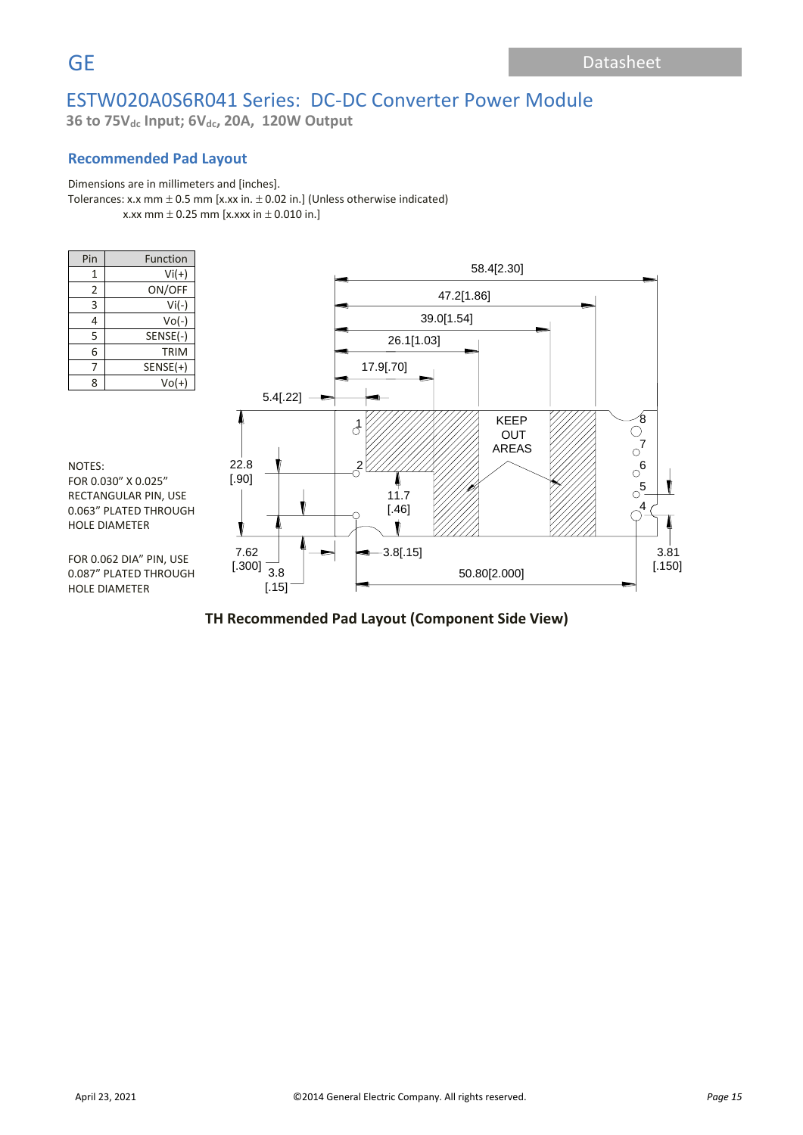**36 to 75Vdc Input; 6Vdc, 20A, 120W Output**

## **Recommended Pad Layout**

### Dimensions are in millimeters and [inches].

Tolerances: x.x mm  $\pm$  0.5 mm [x.xx in.  $\pm$  0.02 in.] (Unless otherwise indicated) x.xx mm  $\pm$  0.25 mm [x.xxx in  $\pm$  0.010 in.]

| Pin            | Function    |
|----------------|-------------|
| 1              | $Vi(+)$     |
| $\overline{2}$ | ON/OFF      |
| 3              | $Vi(-)$     |
| 4              | $Vo(-)$     |
| 5              | SENSE(-)    |
| 6              | <b>TRIM</b> |
|                | $SENSE(+)$  |
| 8              | $Vol(+)$    |

NOTES:

FOR 0.030" X 0.025" RECTANGULAR PIN, USE 0.063" PLATED THROUGH

HOLE DIAMETER



#### FOR 0.062 DIA" PIN, USE 0.087" PLATED THROUGH HOLE DIAMETER

# **TH Recommended Pad Layout (Component Side View)** TH Recommend Pad Layout (Component Side View)